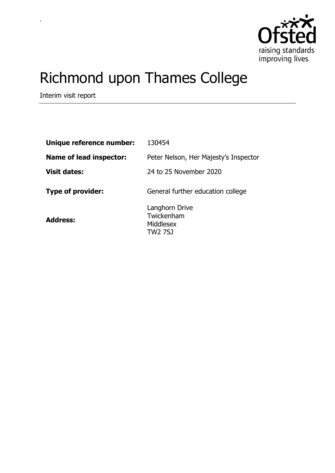

# Richmond upon Thames College

Interim visit report

.

| Unique reference number:       | 130454                                               |
|--------------------------------|------------------------------------------------------|
| <b>Name of lead inspector:</b> | Peter Nelson, Her Majesty's Inspector                |
| <b>Visit dates:</b>            | 24 to 25 November 2020                               |
| <b>Type of provider:</b>       | General further education college                    |
| <b>Address:</b>                | Langhorn Drive<br>Twickenham<br>Middlesex<br>TW2 7SJ |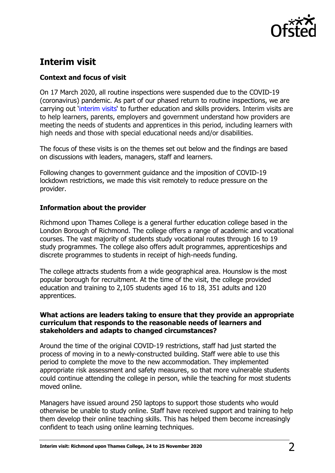

# **Interim visit**

## **Context and focus of visit**

On 17 March 2020, all routine inspections were suspended due to the COVID-19 (coronavirus) pandemic. As part of our phased return to routine inspections, we are carrying out '[interim visits](https://www.gov.uk/guidance/interim-phase-further-education-and-skills-providers#interim-visits)' to further education and skills providers. Interim visits are to help learners, parents, employers and government understand how providers are meeting the needs of students and apprentices in this period, including learners with high needs and those with special educational needs and/or disabilities.

The focus of these visits is on the themes set out below and the findings are based on discussions with leaders, managers, staff and learners.

Following changes to government guidance and the imposition of COVID-19 lockdown restrictions, we made this visit remotely to reduce pressure on the provider.

### **Information about the provider**

Richmond upon Thames College is a general further education college based in the London Borough of Richmond. The college offers a range of academic and vocational courses. The vast majority of students study vocational routes through 16 to 19 study programmes. The college also offers adult programmes, apprenticeships and discrete programmes to students in receipt of high-needs funding.

The college attracts students from a wide geographical area. Hounslow is the most popular borough for recruitment. At the time of the visit, the college provided education and training to 2,105 students aged 16 to 18, 351 adults and 120 apprentices.

#### **What actions are leaders taking to ensure that they provide an appropriate curriculum that responds to the reasonable needs of learners and stakeholders and adapts to changed circumstances?**

Around the time of the original COVID-19 restrictions, staff had just started the process of moving in to a newly-constructed building. Staff were able to use this period to complete the move to the new accommodation. They implemented appropriate risk assessment and safety measures, so that more vulnerable students could continue attending the college in person, while the teaching for most students moved online.

Managers have issued around 250 laptops to support those students who would otherwise be unable to study online. Staff have received support and training to help them develop their online teaching skills. This has helped them become increasingly confident to teach using online learning techniques.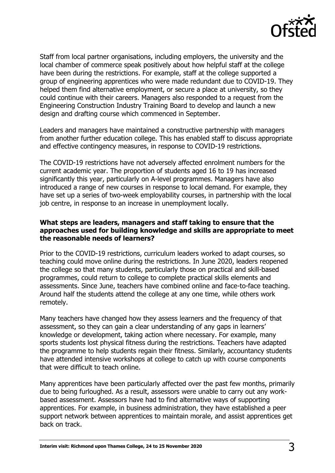

Staff from local partner organisations, including employers, the university and the local chamber of commerce speak positively about how helpful staff at the college have been during the restrictions. For example, staff at the college supported a group of engineering apprentices who were made redundant due to COVID-19. They helped them find alternative employment, or secure a place at university, so they could continue with their careers. Managers also responded to a request from the Engineering Construction Industry Training Board to develop and launch a new design and drafting course which commenced in September.

Leaders and managers have maintained a constructive partnership with managers from another further education college. This has enabled staff to discuss appropriate and effective contingency measures, in response to COVID-19 restrictions.

The COVID-19 restrictions have not adversely affected enrolment numbers for the current academic year. The proportion of students aged 16 to 19 has increased significantly this year, particularly on A-level programmes. Managers have also introduced a range of new courses in response to local demand. For example, they have set up a series of two-week employability courses, in partnership with the local job centre, in response to an increase in unemployment locally.

#### **What steps are leaders, managers and staff taking to ensure that the approaches used for building knowledge and skills are appropriate to meet the reasonable needs of learners?**

Prior to the COVID-19 restrictions, curriculum leaders worked to adapt courses, so teaching could move online during the restrictions. In June 2020, leaders reopened the college so that many students, particularly those on practical and skill-based programmes, could return to college to complete practical skills elements and assessments. Since June, teachers have combined online and face-to-face teaching. Around half the students attend the college at any one time, while others work remotely.

Many teachers have changed how they assess learners and the frequency of that assessment, so they can gain a clear understanding of any gaps in learners' knowledge or development, taking action where necessary. For example, many sports students lost physical fitness during the restrictions. Teachers have adapted the programme to help students regain their fitness. Similarly, accountancy students have attended intensive workshops at college to catch up with course components that were difficult to teach online.

Many apprentices have been particularly affected over the past few months, primarily due to being furloughed. As a result, assessors were unable to carry out any workbased assessment. Assessors have had to find alternative ways of supporting apprentices. For example, in business administration, they have established a peer support network between apprentices to maintain morale, and assist apprentices get back on track.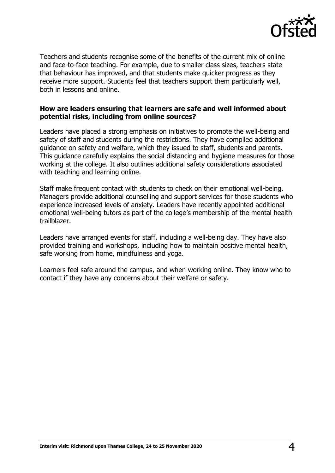

Teachers and students recognise some of the benefits of the current mix of online and face-to-face teaching. For example, due to smaller class sizes, teachers state that behaviour has improved, and that students make quicker progress as they receive more support. Students feel that teachers support them particularly well, both in lessons and online.

#### **How are leaders ensuring that learners are safe and well informed about potential risks, including from online sources?**

Leaders have placed a strong emphasis on initiatives to promote the well-being and safety of staff and students during the restrictions. They have compiled additional guidance on safety and welfare, which they issued to staff, students and parents. This guidance carefully explains the social distancing and hygiene measures for those working at the college. It also outlines additional safety considerations associated with teaching and learning online.

Staff make frequent contact with students to check on their emotional well-being. Managers provide additional counselling and support services for those students who experience increased levels of anxiety. Leaders have recently appointed additional emotional well-being tutors as part of the college's membership of the mental health trailblazer.

Leaders have arranged events for staff, including a well-being day. They have also provided training and workshops, including how to maintain positive mental health, safe working from home, mindfulness and yoga.

Learners feel safe around the campus, and when working online. They know who to contact if they have any concerns about their welfare or safety.